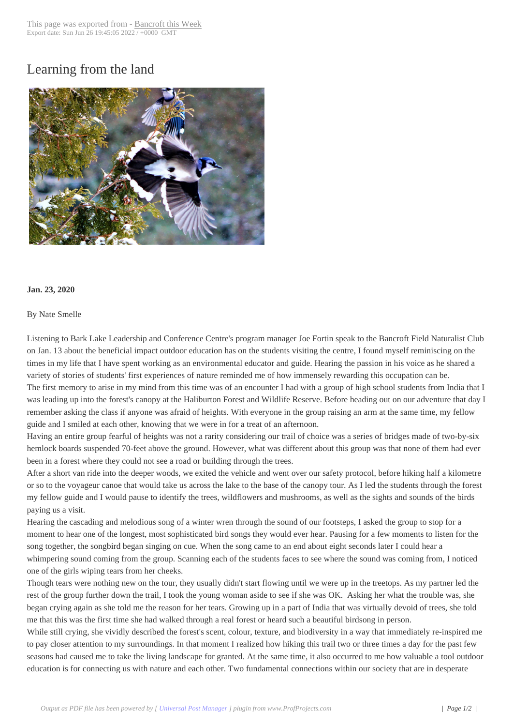## Learning from the [land](http://www.bancroftthisweek.com/?p=10235)



## **Jan. 23, 2020**

## By Nate Smelle

Listening to Bark Lake Leadership and Conference Centre's program manager Joe Fortin speak to the Bancroft Field Naturalist Club on Jan. 13 about the beneficial impact outdoor education has on the students visiting the centre, I found myself reminiscing on the times in my life that I have spent working as an environmental educator and guide. Hearing the passion in his voice as he shared a variety of stories of students' first experiences of nature reminded me of how immensely rewarding this occupation can be. The first memory to arise in my mind from this time was of an encounter I had with a group of high school students from India that I was leading up into the forest's canopy at the Haliburton Forest and Wildlife Reserve. Before heading out on our adventure that day I remember asking the class if anyone was afraid of heights. With everyone in the group raising an arm at the same time, my fellow guide and I smiled at each other, knowing that we were in for a treat of an afternoon.

Having an entire group fearful of heights was not a rarity considering our trail of choice was a series of bridges made of two-by-six hemlock boards suspended 70-feet above the ground. However, what was different about this group was that none of them had ever been in a forest where they could not see a road or building through the trees.

After a short van ride into the deeper woods, we exited the vehicle and went over our safety protocol, before hiking half a kilometre or so to the voyageur canoe that would take us across the lake to the base of the canopy tour. As I led the students through the forest my fellow guide and I would pause to identify the trees, wildflowers and mushrooms, as well as the sights and sounds of the birds paying us a visit.

Hearing the cascading and melodious song of a winter wren through the sound of our footsteps, I asked the group to stop for a moment to hear one of the longest, most sophisticated bird songs they would ever hear. Pausing for a few moments to listen for the song together, the songbird began singing on cue. When the song came to an end about eight seconds later I could hear a whimpering sound coming from the group. Scanning each of the students faces to see where the sound was coming from, I noticed one of the girls wiping tears from her cheeks.

Though tears were nothing new on the tour, they usually didn't start flowing until we were up in the treetops. As my partner led the rest of the group further down the trail, I took the young woman aside to see if she was OK. Asking her what the trouble was, she began crying again as she told me the reason for her tears. Growing up in a part of India that was virtually devoid of trees, she told me that this was the first time she had walked through a real forest or heard such a beautiful birdsong in person.

While still crying, she vividly described the forest's scent, colour, texture, and biodiversity in a way that immediately re-inspired me to pay closer attention to my surroundings. In that moment I realized how hiking this trail two or three times a day for the past few seasons had caused me to take the living landscape for granted. At the same time, it also occurred to me how valuable a tool outdoor education is for connecting us with nature and each other. Two fundamental connections within our society that are in desperate